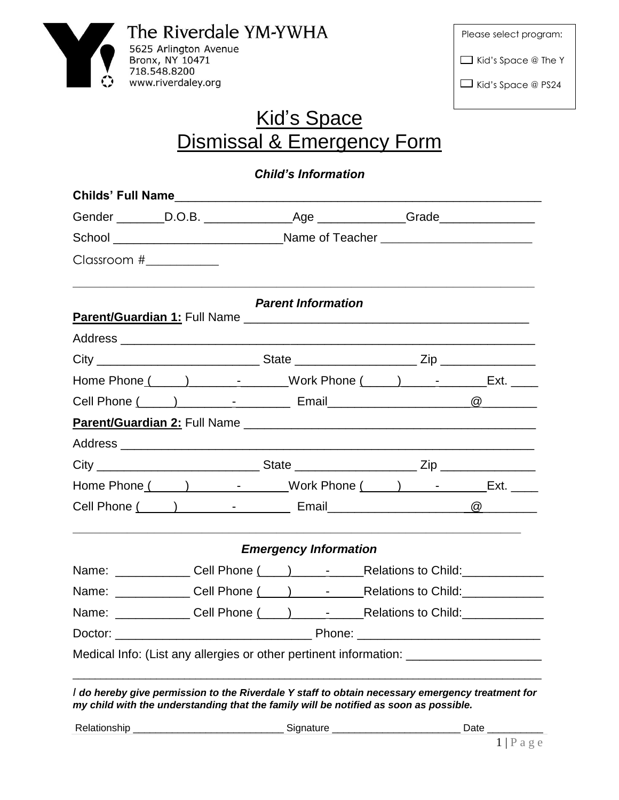

| Please select program:     |  |
|----------------------------|--|
| $\Box$ Kid's Space @ The Y |  |
| $\Box$ Kid's Space @ PS24  |  |

## Kid's Space Dismissal & Emergency Form

*Child's Information*

| School __________________________________Name of Teacher _______________________ |                              |                                                                                       |  |  |  |  |
|----------------------------------------------------------------------------------|------------------------------|---------------------------------------------------------------------------------------|--|--|--|--|
|                                                                                  |                              |                                                                                       |  |  |  |  |
|                                                                                  | <b>Parent Information</b>    |                                                                                       |  |  |  |  |
|                                                                                  |                              |                                                                                       |  |  |  |  |
|                                                                                  |                              |                                                                                       |  |  |  |  |
|                                                                                  |                              | Home Phone ( ) ______________________Work Phone ( ____ ) ________________Ext. ______  |  |  |  |  |
|                                                                                  |                              |                                                                                       |  |  |  |  |
|                                                                                  |                              |                                                                                       |  |  |  |  |
|                                                                                  |                              |                                                                                       |  |  |  |  |
|                                                                                  |                              |                                                                                       |  |  |  |  |
|                                                                                  |                              | Home Phone ( ) ______________________Work Phone ( ) ______________________Ext. ______ |  |  |  |  |
|                                                                                  |                              |                                                                                       |  |  |  |  |
|                                                                                  | <b>Emergency Information</b> |                                                                                       |  |  |  |  |
|                                                                                  |                              |                                                                                       |  |  |  |  |
|                                                                                  |                              |                                                                                       |  |  |  |  |
|                                                                                  |                              |                                                                                       |  |  |  |  |
|                                                                                  |                              |                                                                                       |  |  |  |  |

*I do hereby give permission to the Riverdale Y staff to obtain necessary emergency treatment for my child with the understanding that the family will be notified as soon as possible.* 

Relationship \_\_\_\_\_\_\_\_\_\_\_\_\_\_\_\_\_\_\_\_\_\_\_\_\_\_\_ Signature \_\_\_\_\_\_\_\_\_\_\_\_\_\_\_\_\_\_\_\_\_\_\_ Date \_\_\_\_\_\_\_\_\_\_